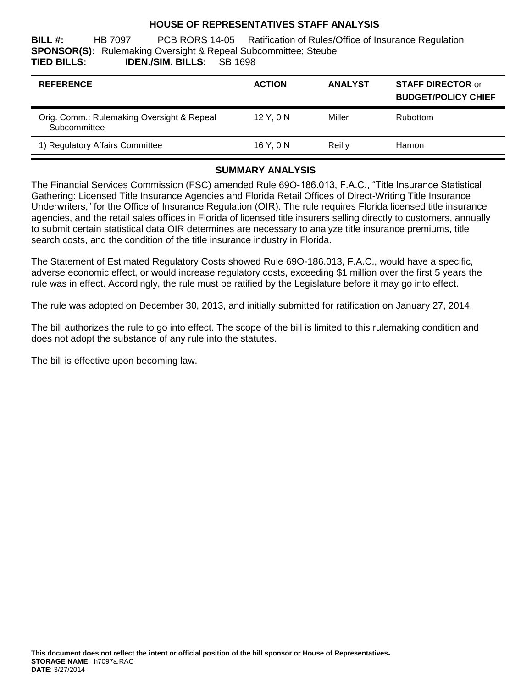## **HOUSE OF REPRESENTATIVES STAFF ANALYSIS**

**BILL #:** HB 7097 PCB RORS 14-05 Ratification of Rules/Office of Insurance Regulation **SPONSOR(S):** Rulemaking Oversight & Repeal Subcommittee; Steube **TIED BILLS: IDEN./SIM. BILLS:** SB 1698

| <b>REFERENCE</b>                                           | <b>ACTION</b> | <b>ANALYST</b> | <b>STAFF DIRECTOR or</b><br><b>BUDGET/POLICY CHIEF</b> |
|------------------------------------------------------------|---------------|----------------|--------------------------------------------------------|
| Orig. Comm.: Rulemaking Oversight & Repeal<br>Subcommittee | $12$ Y. $0$ N | Miller         | Rubottom                                               |
| 1) Regulatory Affairs Committee                            | 16 Y, 0 N     | Reilly         | Hamon                                                  |

## **SUMMARY ANALYSIS**

The Financial Services Commission (FSC) amended Rule 69O-186.013, F.A.C., "Title Insurance Statistical Gathering: Licensed Title Insurance Agencies and Florida Retail Offices of Direct-Writing Title Insurance Underwriters," for the Office of Insurance Regulation (OIR). The rule requires Florida licensed title insurance agencies, and the retail sales offices in Florida of licensed title insurers selling directly to customers, annually to submit certain statistical data OIR determines are necessary to analyze title insurance premiums, title search costs, and the condition of the title insurance industry in Florida.

The Statement of Estimated Regulatory Costs showed Rule 69O-186.013, F.A.C., would have a specific, adverse economic effect, or would increase regulatory costs, exceeding \$1 million over the first 5 years the rule was in effect. Accordingly, the rule must be ratified by the Legislature before it may go into effect.

The rule was adopted on December 30, 2013, and initially submitted for ratification on January 27, 2014.

The bill authorizes the rule to go into effect. The scope of the bill is limited to this rulemaking condition and does not adopt the substance of any rule into the statutes.

The bill is effective upon becoming law.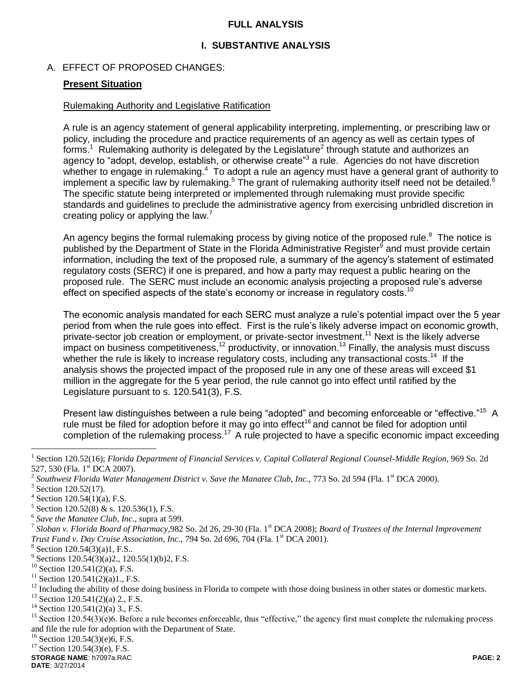## **FULL ANALYSIS**

## **I. SUBSTANTIVE ANALYSIS**

## A. EFFECT OF PROPOSED CHANGES:

## **Present Situation**

#### Rulemaking Authority and Legislative Ratification

A rule is an agency statement of general applicability interpreting, implementing, or prescribing law or policy, including the procedure and practice requirements of an agency as well as certain types of forms.<sup>1</sup> Rulemaking authority is delegated by the Legislature<sup>2</sup> through statute and authorizes an agency to "adopt, develop, establish, or otherwise create"<sup>3</sup> a rule. Agencies do not have discretion whether to engage in rulemaking.<sup>4</sup> To adopt a rule an agency must have a general grant of authority to implement a specific law by rulemaking.<sup>5</sup> The grant of rulemaking authority itself need not be detailed.<sup>6</sup> The specific statute being interpreted or implemented through rulemaking must provide specific standards and guidelines to preclude the administrative agency from exercising unbridled discretion in creating policy or applying the law.<sup>7</sup>

An agency begins the formal rulemaking process by giving notice of the proposed rule. $8$  The notice is published by the Department of State in the Florida Administrative Register<sup>9</sup> and must provide certain information, including the text of the proposed rule, a summary of the agency's statement of estimated regulatory costs (SERC) if one is prepared, and how a party may request a public hearing on the proposed rule. The SERC must include an economic analysis projecting a proposed rule's adverse effect on specified aspects of the state's economy or increase in regulatory costs.<sup>10</sup>

The economic analysis mandated for each SERC must analyze a rule's potential impact over the 5 year period from when the rule goes into effect. First is the rule's likely adverse impact on economic growth, private-sector job creation or employment, or private-sector investment.<sup>11</sup> Next is the likely adverse impact on business competitiveness,<sup>12</sup> productivity, or innovation.<sup>13</sup> Finally, the analysis must discuss whether the rule is likely to increase regulatory costs, including any transactional costs.<sup>14</sup> If the analysis shows the projected impact of the proposed rule in any one of these areas will exceed \$1 million in the aggregate for the 5 year period, the rule cannot go into effect until ratified by the Legislature pursuant to s. 120.541(3), F.S.

Present law distinguishes between a rule being "adopted" and becoming enforceable or "effective."<sup>15</sup> A rule must be filed for adoption before it may go into effect<sup>16</sup> and cannot be filed for adoption until completion of the rulemaking process.<sup>17</sup> A rule projected to have a specific economic impact exceeding

 $\overline{a}$ 

 $16$  Section 120.54(3)(e)6, F.S.

 $17$  Section 120.54(3)(e), F.S.

**STORAGE NAME**: h7097a.RAC **PAGE: 2 DATE**: 3/27/2014

<sup>1</sup> Section 120.52(16); *Florida Department of Financial Services v. Capital Collateral Regional Counsel-Middle Region*, 969 So. 2d 527, 530 (Fla. 1<sup>st</sup> DCA 2007).

<sup>&</sup>lt;sup>2</sup> Southwest Florida Water Management District v. Save the Manatee Club, Inc., 773 So. 2d 594 (Fla. 1<sup>st</sup> DCA 2000).

<sup>&</sup>lt;sup>3</sup> Section 120.52(17).

 $4$  Section 120.54(1)(a), F.S.

<sup>5</sup> Section 120.52(8) & s. 120.536(1), F.S.

<sup>6</sup> *Save the Manatee Club, Inc.,* supra at 599.

<sup>&</sup>lt;sup>7</sup> Sloban v. Florida Board of Pharmacy, 982 So. 2d 26, 29-30 (Fla. 1<sup>st</sup> DCA 2008); *Board of Trustees of the Internal Improvement Trust Fund v. Day Cruise Association, Inc., 794 So. 2d 696, 704 (Fla. 1<sup>st</sup> DCA 2001).* 

 $8$  Section 120.54(3)(a)1, F.S..

<sup>&</sup>lt;sup>9</sup> Sections 120.54(3)(a)2., 120.55(1)(b)2, F.S.

<sup>&</sup>lt;sup>10</sup> Section 120.541(2)(a), F.S.

 $11$  Section 120.541(2)(a)1., F.S.

 $12$  Including the ability of those doing business in Florida to compete with those doing business in other states or domestic markets.

 $13$  Section 120.541(2)(a) 2., F.S.

<sup>&</sup>lt;sup>14</sup> Section 120.541(2)(a) 3., F.S.

<sup>&</sup>lt;sup>15</sup> Section  $120.54(3)(e)6$ . Before a rule becomes enforceable, thus "effective," the agency first must complete the rulemaking process and file the rule for adoption with the Department of State.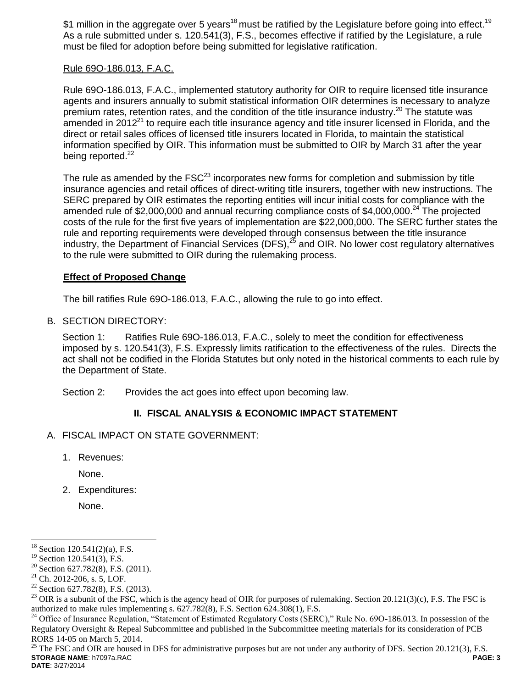\$1 million in the aggregate over 5 years<sup>18</sup> must be ratified by the Legislature before going into effect.<sup>19</sup> As a rule submitted under s. 120.541(3), F.S., becomes effective if ratified by the Legislature, a rule must be filed for adoption before being submitted for legislative ratification.

## Rule 69O-186.013, F.A.C.

Rule 69O-186.013, F.A.C., implemented statutory authority for OIR to require licensed title insurance agents and insurers annually to submit statistical information OIR determines is necessary to analyze premium rates, retention rates, and the condition of the title insurance industry.<sup>20</sup> The statute was amended in 2012<sup>21</sup> to require each title insurance agency and title insurer licensed in Florida, and the direct or retail sales offices of licensed title insurers located in Florida, to maintain the statistical information specified by OIR. This information must be submitted to OIR by March 31 after the year being reported.<sup>22</sup>

The rule as amended by the  $FSC^{23}$  incorporates new forms for completion and submission by title insurance agencies and retail offices of direct-writing title insurers, together with new instructions. The SERC prepared by OIR estimates the reporting entities will incur initial costs for compliance with the amended rule of \$2,000,000 and annual recurring compliance costs of \$4,000,000.<sup>24</sup> The projected costs of the rule for the first five years of implementation are \$22,000,000. The SERC further states the rule and reporting requirements were developed through consensus between the title insurance industry, the Department of Financial Services (DFS), $^{25}$  and OIR. No lower cost regulatory alternatives to the rule were submitted to OIR during the rulemaking process.

## **Effect of Proposed Change**

The bill ratifies Rule 69O-186.013, F.A.C., allowing the rule to go into effect.

B. SECTION DIRECTORY:

Section 1: Ratifies Rule 69O-186.013, F.A.C., solely to meet the condition for effectiveness imposed by s. 120.541(3), F.S. Expressly limits ratification to the effectiveness of the rules. Directs the act shall not be codified in the Florida Statutes but only noted in the historical comments to each rule by the Department of State.

Section 2: Provides the act goes into effect upon becoming law.

## **II. FISCAL ANALYSIS & ECONOMIC IMPACT STATEMENT**

- A. FISCAL IMPACT ON STATE GOVERNMENT:
	- 1. Revenues:

None.

2. Expenditures:

None.

 $\overline{a}$ 

**STORAGE NAME**: h7097a.RAC **PAGE: 3 DATE**: 3/27/2014 <sup>25</sup> The FSC and OIR are housed in DFS for administrative purposes but are not under any authority of DFS. Section 20.121(3), F.S.

 $18$  Section 120.541(2)(a), F.S.

 $19$  Section 120.541(3), F.S.

<sup>&</sup>lt;sup>20</sup> Section 627.782(8), F.S. (2011).

<sup>21</sup> Ch. 2012-206, s. 5, LOF.

 $22$  Section 627.782(8), F.S. (2013).

 $^{23}$  OIR is a subunit of the FSC, which is the agency head of OIR for purposes of rulemaking. Section 20.121(3)(c), F.S. The FSC is authorized to make rules implementing s. 627.782(8), F.S. Section 624.308(1), F.S.

<sup>&</sup>lt;sup>24</sup> Office of Insurance Regulation, "Statement of Estimated Regulatory Costs (SERC)," Rule No. 69O-186.013. In possession of the Regulatory Oversight & Repeal Subcommittee and published in the Subcommittee meeting materials for its consideration of PCB RORS 14-05 on March 5, 2014.